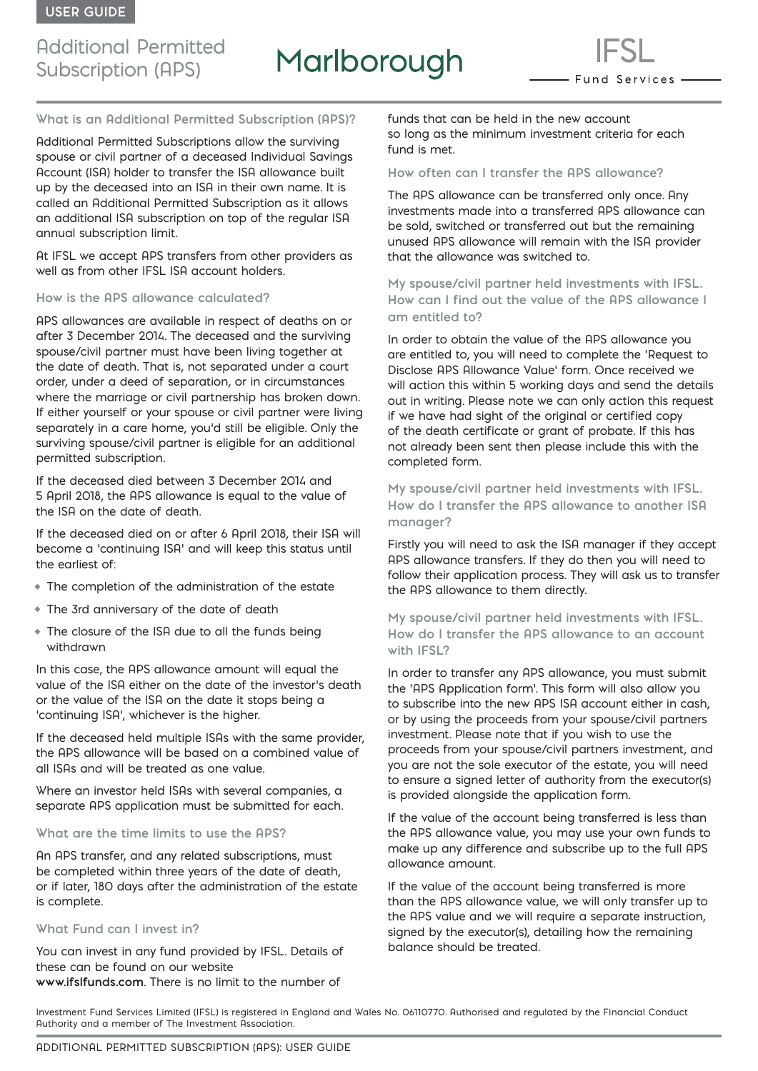### Additional Permitted Subscription (APS)

# Marlborough

- Fund Services —

**What is an Additional Permitted Subscription (APS)?**

Additional Permitted Subscriptions allow the surviving spouse or civil partner of a deceased Individual Savings Account (ISA) holder to transfer the ISA allowance built up by the deceased into an ISA in their own name. It is called an Additional Permitted Subscription as it allows an additional ISA subscription on top of the regular ISA annual subscription limit.

At IFSL we accept APS transfers from other providers as well as from other IFSL ISA account holders.

#### **How is the APS allowance calculated?**

APS allowances are available in respect of deaths on or after 3 December 2014. The deceased and the surviving spouse/civil partner must have been living together at the date of death. That is, not separated under a court order, under a deed of separation, or in circumstances where the marriage or civil partnership has broken down. If either yourself or your spouse or civil partner were living separately in a care home, you'd still be eligible. Only the surviving spouse/civil partner is eligible for an additional permitted subscription.

If the deceased died between 3 December 2014 and 5 April 2018, the APS allowance is equal to the value of the ISA on the date of death.

If the deceased died on or after 6 April 2018, their ISA will become a 'continuing ISA' and will keep this status until the earliest of:

- The completion of the administration of the estate
- The 3rd anniversary of the date of death
- The closure of the ISA due to all the funds being withdrawn

In this case, the APS allowance amount will equal the value of the ISA either on the date of the investor's death or the value of the ISA on the date it stops being a 'continuing ISA', whichever is the higher.

If the deceased held multiple ISAs with the same provider, the APS allowance will be based on a combined value of all ISAs and will be treated as one value.

Where an investor held ISAs with several companies, a separate APS application must be submitted for each.

#### **What are the time limits to use the APS?**

An APS transfer, and any related subscriptions, must be completed within three years of the date of death, or if later, 180 days after the administration of the estate is complete.

#### **What Fund can I invest in?**

You can invest in any fund provided by IFSL. Details of these can be found on our website **www.ifslfunds.com**. There is no limit to the number of

funds that can be held in the new account so long as the minimum investment criteria for each fund is met.

#### **How often can I transfer the APS allowance?**

The APS allowance can be transferred only once. Any investments made into a transferred APS allowance can be sold, switched or transferred out but the remaining unused APS allowance will remain with the ISA provider that the allowance was switched to.

**My spouse/civil partner held investments with IFSL. How can I find out the value of the APS allowance I am entitled to?**

In order to obtain the value of the APS allowance you are entitled to, you will need to complete the 'Request to Disclose APS Allowance Value' form. Once received we will action this within 5 working days and send the details out in writing. Please note we can only action this request if we have had sight of the original or certified copy of the death certificate or grant of probate. If this has not already been sent then please include this with the completed form.

**My spouse/civil partner held investments with IFSL. How do I transfer the APS allowance to another ISA manager?**

Firstly you will need to ask the ISA manager if they accept APS allowance transfers. If they do then you will need to follow their application process. They will ask us to transfer the APS allowance to them directly.

**My spouse/civil partner held investments with IFSL. How do I transfer the APS allowance to an account with IFSL?**

In order to transfer any APS allowance, you must submit the 'APS Application form'. This form will also allow you to subscribe into the new APS ISA account either in cash, or by using the proceeds from your spouse/civil partners investment. Please note that if you wish to use the proceeds from your spouse/civil partners investment, and you are not the sole executor of the estate, you will need to ensure a signed letter of authority from the executor(s) is provided alongside the application form.

If the value of the account being transferred is less than the APS allowance value, you may use your own funds to make up any difference and subscribe up to the full APS allowance amount.

If the value of the account being transferred is more than the APS allowance value, we will only transfer up to the APS value and we will require a separate instruction, signed by the executor(s), detailing how the remaining balance should be treated.

Investment Fund Services Limited (IFSL) is registered in England and Wales No. 06110770. Authorised and regulated by the Financial Conduct Authority and a member of The Investment Association.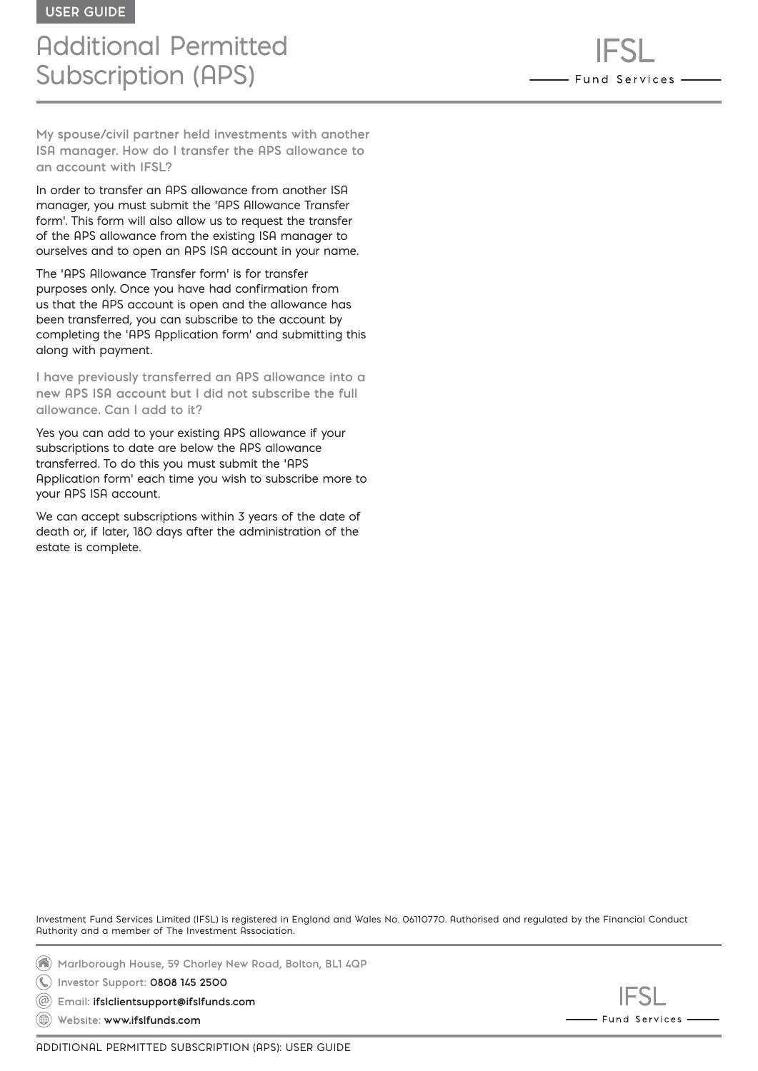### Additional Permitted Subscription (APS)

**My spouse/civil partner held investments with another ISA manager. How do I transfer the APS allowance to an account with IFSL?**

In order to transfer an APS allowance from another ISA manager, you must submit the 'APS Allowance Transfer form'. This form will also allow us to request the transfer of the APS allowance from the existing ISA manager to ourselves and to open an APS ISA account in your name.

The 'APS Allowance Transfer form' is for transfer purposes only. Once you have had confirmation from us that the APS account is open and the allowance has been transferred, you can subscribe to the account by completing the 'APS Application form' and submitting this along with payment.

**I have previously transferred an APS allowance into a new APS ISA account but I did not subscribe the full allowance. Can I add to it?**

Yes you can add to your existing APS allowance if your subscriptions to date are below the APS allowance transferred. To do this you must submit the 'APS Application form' each time you wish to subscribe more to your APS ISA account.

We can accept subscriptions within 3 years of the date of death or, if later, 180 days after the administration of the estate is complete.

Investment Fund Services Limited (IFSL) is registered in England and Wales No. 06110770. Authorised and regulated by the Financial Conduct Authority and a member of The Investment Association.

**Marlborough House, 59 Chorley New Road, Bolton, BL1 4QP**

**Investor Support: 0808 145 2500**

**Email: [ifslclientsupport@ifslfunds.com](mailto:ifslclientsupport%40ifslfunds.com?subject=)**  $(\circleda)$ 

**Website: www.ifslfunds.com**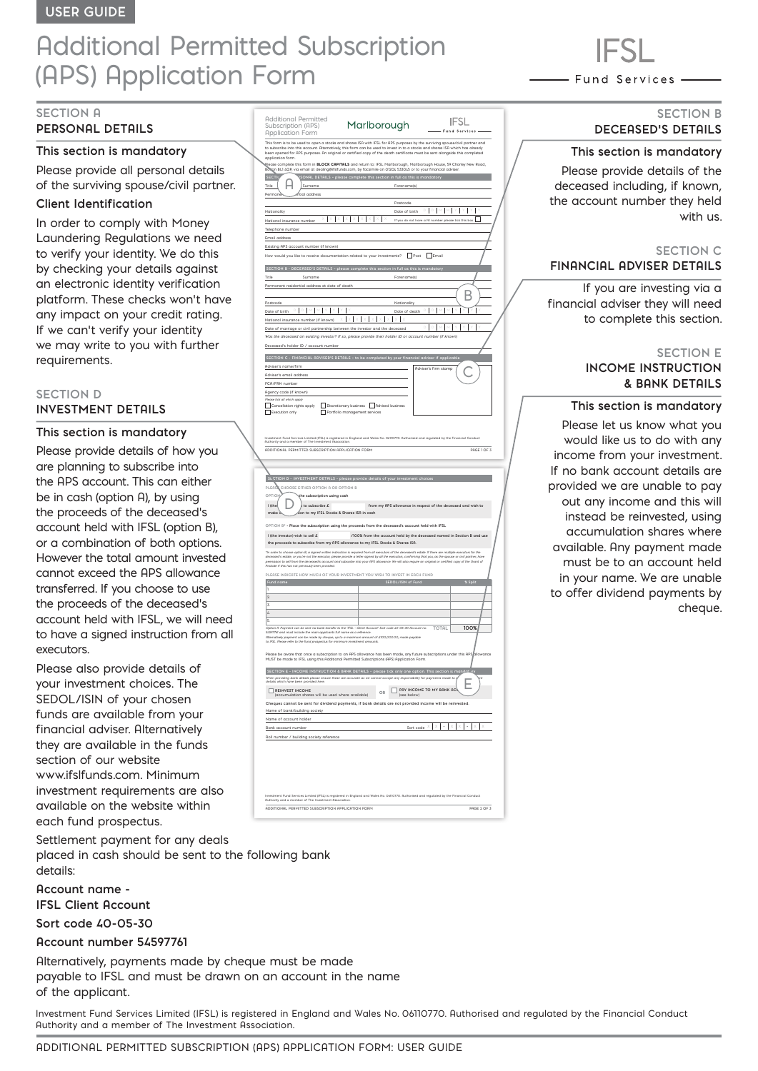## Additional Permitted Subscription (APS) Application Form

### **SECTION A**

#### **PERSONAL DETAILS**

#### **This section is mandatory**

Please provide all personal details of the surviving spouse/civil partner.

#### **Client Identification**

In order to comply with Money Laundering Regulations we need to verify your identity. We do this by checking your details against an electronic identity verification platform. These checks won't have any impact on your credit rating. If we can't verify your identity we may write to you with further requirements.

#### **SECTION D INVESTMENT DETAILS**

#### **This section is mandatory**

Please provide details of how you are planning to subscribe into the APS account. This can either be in cash (option A), by using the proceeds of the deceased's account held with IFSL (option B), or a combination of both options. However the total amount invested cannot exceed the APS allowance transferred. If you choose to use the proceeds of the deceased's account held with IFSL, we will need to have a signed instruction from all executors.

Please also provide details of your investment choices. The SEDOL/ISIN of your chosen funds are available from your financial adviser. Alternatively they are available in the funds section of our website www.ifslfunds.com. Minimum investment requirements are also available on the website within each fund prospectus.

Settlement payment for any deals placed in cash should be sent to the following bank details:

**Account name - IFSL Client Account**

**Sort code 40-05-30** 

#### **Account number 54597761**

Alternatively, payments made by cheque must be made payable to IFSL and must be drawn on an account in the name of the applicant.

Investment Fund Services Limited (IFSL) is registered in England and Wales No. 06110770. Authorised and regulated by the Financial Conduct Authority and a member of The Investment Association.

| <b>Additional Permitted</b><br>Subscription (APS)<br><b>Application Form</b>                                                                             | Marlborough                                                                                                                                                                                                                                                                                                                                                                                                                                                                                                                                                                                                                                                                                                               | IFSL<br>- Fund Services -                                              |
|----------------------------------------------------------------------------------------------------------------------------------------------------------|---------------------------------------------------------------------------------------------------------------------------------------------------------------------------------------------------------------------------------------------------------------------------------------------------------------------------------------------------------------------------------------------------------------------------------------------------------------------------------------------------------------------------------------------------------------------------------------------------------------------------------------------------------------------------------------------------------------------------|------------------------------------------------------------------------|
| application form.<br><b>SECTK</b>                                                                                                                        | This form is to be used to open a stocks and shares ISA with IFSL for APS purposes by the surviving spouse/civil partner and<br>to subscribe into this account. Alternatively, this form can be used to invest in to a stocks and shares ISA which has already<br>been opened for APS purposes. An original or certified copy of the death certificate must be sent alongside this completed<br>Dease complete this form in <b>BLOCK CAPITALS</b> and return to: IFSL Marlborough, Marlborough House, 59 Chorley New Road,<br>Boltign BL1 4QP, via email at dealing@ifsIfunds.com, by facsimile on 01204 533045 or to your financial adviser.<br>ONAL DETAILS - please complete this section in full as this is mandatory |                                                                        |
| Title<br>Surname<br>.<br>Itial address<br>Perman                                                                                                         | Forename(s)<br>Postcode                                                                                                                                                                                                                                                                                                                                                                                                                                                                                                                                                                                                                                                                                                   |                                                                        |
| Nationality<br>National insurance number<br>Telephone number                                                                                             | Date of birth                                                                                                                                                                                                                                                                                                                                                                                                                                                                                                                                                                                                                                                                                                             | $\mathbb D$<br>ı<br>b<br>If you do not have a NI number pleas          |
| Email address<br>Existing APS account number (if known)                                                                                                  |                                                                                                                                                                                                                                                                                                                                                                                                                                                                                                                                                                                                                                                                                                                           | $\Box$ Post<br>$\Box$ Email                                            |
| How would you like to receive documentation related to your investments?<br>Title<br>Surname                                                             | SECTION B - DECERSED'S DETAILS - please complete this section in full as this is mande<br>Forename(s)                                                                                                                                                                                                                                                                                                                                                                                                                                                                                                                                                                                                                     |                                                                        |
| Permanent residential address at date of death<br>Postcode                                                                                               | Nationality                                                                                                                                                                                                                                                                                                                                                                                                                                                                                                                                                                                                                                                                                                               |                                                                        |
| Date of birth D D M M Y<br>National insurance number (if known)<br>Date of marriage or civil partnership between the investor and the deceased           | Date of death                                                                                                                                                                                                                                                                                                                                                                                                                                                                                                                                                                                                                                                                                                             |                                                                        |
| Deceased's holder ID / account number                                                                                                                    | Was the deceased an existing investor? If so, please provide their holder ID or account number (if known)<br>SECTION C - FINANCIAL ADVISER'S DETAILS - to be completed by your financial adviser if applicabl                                                                                                                                                                                                                                                                                                                                                                                                                                                                                                             |                                                                        |
| Adviser's name/firm<br>Adviser's email address<br>FCA/FRN number                                                                                         |                                                                                                                                                                                                                                                                                                                                                                                                                                                                                                                                                                                                                                                                                                                           | Adviser's firm stamp                                                   |
| Agency code (if known)<br>Please tick all which apply<br>Cancellation rights apply<br>Г<br>Execution only<br>Г                                           | Discretionary business Advised business<br>Portfolio management services                                                                                                                                                                                                                                                                                                                                                                                                                                                                                                                                                                                                                                                  |                                                                        |
| ADDITIONAL PERMITTED SUBSCRIPTION APPLICATION FORM                                                                                                       | Investment Fund Services Limited (IFSL) is registered in England and Wales No. 06110770. Authorised and regulated by the Financial Conduct<br>Authority and a member of The Investment Association.                                                                                                                                                                                                                                                                                                                                                                                                                                                                                                                       | PAGE 1 OF 3                                                            |
| DI COS<br>CHOOSE EITHER OPTION A OR OPTION B<br>OPTION<br>the subscription using cash                                                                    | CTION D - INVESTMENT DETAILS - please provide details of your investment choid                                                                                                                                                                                                                                                                                                                                                                                                                                                                                                                                                                                                                                            |                                                                        |
| I (the<br>to subscribe £<br>make                                                                                                                         | tion to my IFSL Stocks & Shares ISA in cash                                                                                                                                                                                                                                                                                                                                                                                                                                                                                                                                                                                                                                                                               | from my APS allowance in respect of the deceased and wish to           |
| I (the investor) wish to sell £                                                                                                                          | OPTION B* - Place the subscription using the proceeds from the deceased's account held with IFSL<br>the proceeds to subscribe from my APS allowance to my IFSL Stocks & Shares ISA.<br>*In order to choose option B, a signed witten instruction is required from all executors of the deceased's estate. If there are multiple executors for the                                                                                                                                                                                                                                                                                                                                                                         | /100% from the account held by the deceased named in Section B and use |
| Probate if this has not previously been provided.                                                                                                        | deceased's estate, or you're not the executor, please provide a letter signed by all the executors, confirming that you, as the spouse or civil partner, have<br>permission to sell from the deceased's account and subscribe int<br>PLEASE INDICATE HOW MUCH OF YOUR INVESTMENT YOU WISH TO INVEST IN EACH FUND                                                                                                                                                                                                                                                                                                                                                                                                          |                                                                        |
| Fund nam<br>٦<br>$\overline{2}$<br>$\overline{\mathbf{3}}$<br>$\mathcal{L}$                                                                              |                                                                                                                                                                                                                                                                                                                                                                                                                                                                                                                                                                                                                                                                                                                           |                                                                        |
| s<br>54597761 and must include the main applicants full name as a reference<br>to IFSL. Please refer to the fund prospectus for minimum investment amous | Option R Payment can be sent via bank transfer to the 'IFSL - Client Rccount' Sort code 40-05-30 Rccount no.<br>Alternatively payment can be made by cheque, up to a maximum amount of £100,000.00, made payable<br>Please be aware that once a subscription to an APS allowance has been made, any future subscriptions under this APS                                                                                                                                                                                                                                                                                                                                                                                   | 100%<br>TOTAL                                                          |

| NEODE DE OWULE LINE OHIO O SUDSCIIDUOTI LO GIT MPS GINWOHICE HUS DEETI HIQUE. OHY HUGHE SUDSCIIDUOTIS GHUEL LIIS MPSIQINAVOHICE<br>MUST be made to IFSL using this Additional Permitted Subscriptions (APS) Application Form. |                                                |
|-------------------------------------------------------------------------------------------------------------------------------------------------------------------------------------------------------------------------------|------------------------------------------------|
| SECTION E - INCOME INSTRUCTION & BANK DETAILS - please tick only one option. This section is mandativey                                                                                                                       |                                                |
| When providing bank details please ensure these are accurate as we cannot accept any responsibility for payments made to is<br>details which have been provided here.                                                         | we                                             |
| <b>REINVEST INCOME</b><br>(accumulation shares will be used where available)                                                                                                                                                  | PAY INCOME TO MY BANK ACC<br>OR<br>(see below) |
| Cheques cannot be sent for dividend payments, if bank details are not provided income will be reinvested.                                                                                                                     |                                                |
| Name of bank/building society                                                                                                                                                                                                 |                                                |
| Name of account holder                                                                                                                                                                                                        |                                                |
| <b>Bank account number</b>                                                                                                                                                                                                    | Sort code $X$                                  |
| Roll number / building society reference                                                                                                                                                                                      |                                                |
|                                                                                                                                                                                                                               |                                                |
|                                                                                                                                                                                                                               |                                                |
|                                                                                                                                                                                                                               |                                                |
|                                                                                                                                                                                                                               |                                                |
|                                                                                                                                                                                                                               |                                                |

ADDITIONAL PERMITTED SUBSCRIPTION APPLICATION FORM PAGE 2 OF 3

Investment Fund Services Limited (IFSL) is registered in England and Wales No. 06110770. Authorised and regulated by the Financial Conduct

Authority and a member of The Investment Association.

- Fund Services -

#### **SECTION B DECEASED'S DETAILS**

#### **This section is mandatory**

Please provide details of the deceased including, if known, the account number they held with us.

#### **SECTION C FINANCIAL ADVISER DETAILS**

If you are investing via a financial adviser they will need to complete this section.

#### **SECTION E**

#### **INCOME INSTRUCTION & BANK DETAILS**

#### **This section is mandatory**

Please let us know what you would like us to do with any income from your investment. If no bank account details are provided we are unable to pay out any income and this will instead be reinvested, using accumulation shares where available. Any payment made must be to an account held in your name. We are unable to offer dividend payments by cheque.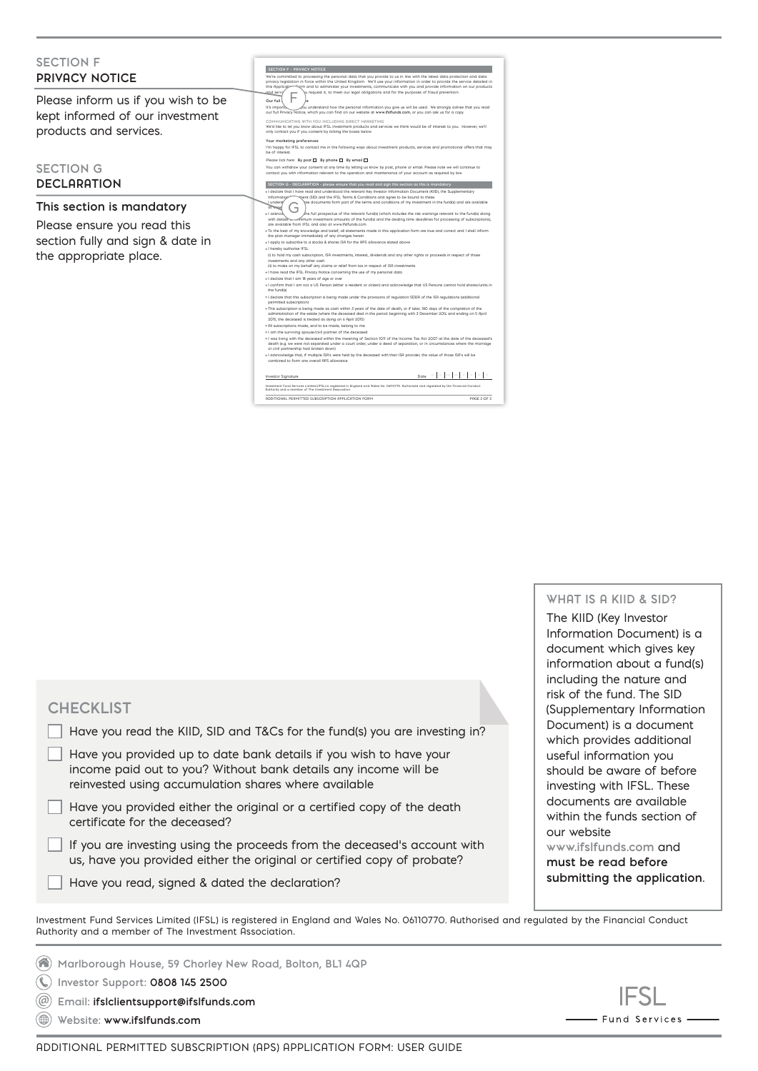| erm and to administer your investments, communicate with you and provide information on our products<br>this Application<br>and servir<br>ju request it, to meet our legal obligations and for the purposes of fraud prevention.<br>Please inform us if you wish to be<br>Our full<br>It's importo<br>ou understand how the personal information you give us will be used. We strongly advise that you read(<br>our full Privacy Notice, which you can find on our website at www.ifsifunds.com, or you can ask us for a copy.<br>kept informed of our investment<br>COMMUNICATING WITH YOU INCLUDING DIRECT MARKETING                                                                                                                                                                                                                                                                                                                                                                                                                                                                                                                                                                                                                                                                                                                                                                                                                                                                                                                                                                                                                                                                                                                                                                                                                                                                                                                                                                                                                                                                                                                                                                                                                                                                                         |
|----------------------------------------------------------------------------------------------------------------------------------------------------------------------------------------------------------------------------------------------------------------------------------------------------------------------------------------------------------------------------------------------------------------------------------------------------------------------------------------------------------------------------------------------------------------------------------------------------------------------------------------------------------------------------------------------------------------------------------------------------------------------------------------------------------------------------------------------------------------------------------------------------------------------------------------------------------------------------------------------------------------------------------------------------------------------------------------------------------------------------------------------------------------------------------------------------------------------------------------------------------------------------------------------------------------------------------------------------------------------------------------------------------------------------------------------------------------------------------------------------------------------------------------------------------------------------------------------------------------------------------------------------------------------------------------------------------------------------------------------------------------------------------------------------------------------------------------------------------------------------------------------------------------------------------------------------------------------------------------------------------------------------------------------------------------------------------------------------------------------------------------------------------------------------------------------------------------------------------------------------------------------------------------------------------------|
| We'd like to let you know about IFSL investment products and services we think would be of interest to you. However, we'll<br>products and services.<br>only contact you if you consent by ticking the boxes below.<br>Your marketing preferences<br>I'm happy for IFSL to contact me in the following ways about investment products, services and promotional offers that may<br>be of interest.                                                                                                                                                                                                                                                                                                                                                                                                                                                                                                                                                                                                                                                                                                                                                                                                                                                                                                                                                                                                                                                                                                                                                                                                                                                                                                                                                                                                                                                                                                                                                                                                                                                                                                                                                                                                                                                                                                             |
| Please tick here: By post □ By phone □ By email □<br><b>SECTION G</b><br>You can withdraw your consent at any time by letting us know by post, phone or email. Please note we will continue to<br>contact you with information relevant to the operation and maintenance of your account as required by law.<br><b>DECLARATION</b><br>SECTION G - DECLARATION - please ensure that you read and sign this section as this is mandatory.<br>« I declare that I have read and understood the relevant Key Investor Information Document (KIID), the Supplementary                                                                                                                                                                                                                                                                                                                                                                                                                                                                                                                                                                                                                                                                                                                                                                                                                                                                                                                                                                                                                                                                                                                                                                                                                                                                                                                                                                                                                                                                                                                                                                                                                                                                                                                                                |
| pent (SID) and the IFSL Terms & Conditions and agree to be bound to these.<br>Information<br>ese documents form part of the terms and conditions of my investment in the fund(s) and are available<br>I unders!'<br>This section is mandatory<br>of Wright<br>+ I acknow<br>the full prospectus of the relevant fund(s) (which includes the risk warnings relevant to the fund(s) along/                                                                                                                                                                                                                                                                                                                                                                                                                                                                                                                                                                                                                                                                                                                                                                                                                                                                                                                                                                                                                                                                                                                                                                                                                                                                                                                                                                                                                                                                                                                                                                                                                                                                                                                                                                                                                                                                                                                       |
| ethimum investment amounts of the fund(s) and the dealing time deadlines for processing of subscriptions),<br>with details<br>Please ensure you read this<br>are available from IFSL and also at www.ifsIfunds.com<br>. To the best of my knowledge and belief, all statements made in this application form are true and correct and I shall inform<br>the plan manager immediately of any changes herein<br>section fully and sign & date in<br>* I apply to subscribe to a stocks & shares ISA for the APS allowance stated above<br>. I hereby guthorise IFSL:<br>the appropriate place.<br>(i) to hold my cash subscription, ISA investments, interest, dividends and any other rights or proceeds in respect of those<br>investments and any other cash<br>(ii) to make on my behalf any claims or relief from tax in respect of ISA investments<br>. I have read the IFSL Privacy Notice concerning the use of my personal data<br>* I declare that I am 18 years of age or over<br>. I confirm that I am not a US Person leither a resident or citizen) and acknowledge that US Persons cannot hold shares/units in<br>the fund(s)<br>* I declare that this subscription is being made under the provisions of regulation SDDA of the ISA regulations (additional<br>permitted subscription)<br>. This subscription is being made as cash within 3 years of the date of death, or if later, 180 days of the completion of the<br>administration of the estate (where the deceased died in the period beginning with 3 December 2014 and ending on 5 April<br>2015, the deceased is treated as dying on 6 April 2015)<br>· All subscriptions made, and to be made, belong to me<br>« I am the surviving spouse/civil partner of the deceased<br>* I was living with the deceased within the meaning of Section 1011 of the Income Tax Act 2007 at the date of the deceased's<br>death (e.g. we were not separated under a court order, under a deed of separation, or in circumstances where the marriage<br>or civil partnership had broken down)<br>« I acknowledge that, if multiple ISA's were held by the deceased with their ISA provider, the value of those ISA's will be<br>combined to form one overall QPS allowance<br>Date $D$   $D$   $M$   $M$   $Y$   $Y$   $Y$  <br>Investor Signature |

ADDITIONAL PERMITTED SUBSCRIPTION APPLICATION FORM PAGE 3 OF 3 Investment Fund Services Limited (IFSL) is registered in England and Wales No. 06110770. Authorised and regulated by the Financial Conduct Authority and a member of The Investment Association.

**WHAT IS A KIID & SID?**

The KIID (Key Investor Information Document) is a document which gives key information about a fund(s) including the nature and risk of the fund. The SID (Supplementary Information Document) is a document which provides additional useful information you should be aware of before investing with IFSL. These documents are available within the funds section of our website **www.ifslfunds.com** and

**must be read before submitting the application**.

Investment Fund Services Limited (IFSL) is registered in England and Wales No. 06110770. Authorised and regulated by the Financial Conduct Authority and a member of The Investment Association.

**Marlborough House, 59 Chorley New Road, Bolton, BL1 4QP Investor Support: 0808 145 2500 Email: [ifslclientsupport@ifslfunds.com](mailto:ifslclientsupport%40ifslfunds.com?subject=)**

Have you read, signed & dated the declaration?

**Website: www.ifslfunds.com**

certificate for the deceased?

**CHECKLIST**



 $\Box$  Have you read the KIID, SID and T&Cs for the fund(s) you are investing in?

Have you provided up to date bank details if you wish to have your income paid out to you? Without bank details any income will be

Have you provided either the original or a certified copy of the death

If you are investing using the proceeds from the deceased's account with us, have you provided either the original or certified copy of probate?

reinvested using accumulation shares where available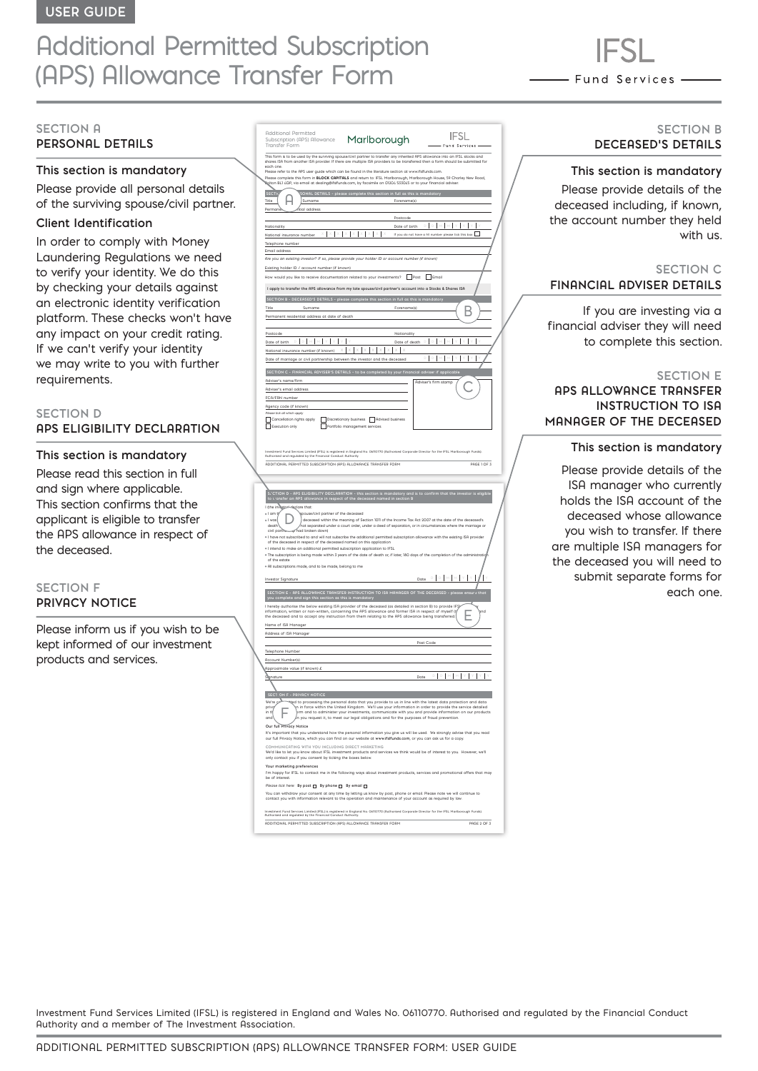## Additional Permitted Subscription (APS) Allowance Transfer Form

- Fund Services -

#### **SECTION A PERSONAL DETAILS**

#### **This section is mandatory**

Please provide all personal details of the surviving spouse/civil partner.

#### **Client Identification**

In order to comply with Money Laundering Regulations we need to verify your identity. We do this by checking your details against an electronic identity verification platform. These checks won't have any impact on your credit rating. If we can't verify your identity we may write to you with further requirements.

#### **SECTION D APS ELIGIBILITY DECLARATION**

#### **This section is mandatory**

Please read this section in full and sign where applicable. This section confirms that the applicant is eligible to transfer the APS allowance in respect of the deceased.

#### **SECTION F PRIVACY NOTICE**

Please inform us if you wish to be kept informed of our investment products and services.

| Hdditional Permitted<br>Subscription (APS) Allowance                                                             | Marlborough                                                                                                                                                                                                                                                                                                                                     | Fund Services                                                                                                                                                                                                                                         |
|------------------------------------------------------------------------------------------------------------------|-------------------------------------------------------------------------------------------------------------------------------------------------------------------------------------------------------------------------------------------------------------------------------------------------------------------------------------------------|-------------------------------------------------------------------------------------------------------------------------------------------------------------------------------------------------------------------------------------------------------|
| Transfer Form                                                                                                    | .<br>This form is to be used by the surviving spouse/civil partner to transfer any inherited APS allowance into an IFSL stocks and<br>shares ISA from another ISA provider. If there are multiple ISA providers to be transferred th                                                                                                            |                                                                                                                                                                                                                                                       |
| each one                                                                                                         |                                                                                                                                                                                                                                                                                                                                                 |                                                                                                                                                                                                                                                       |
|                                                                                                                  | Please refer to the APS user guide which can be found in the literature section at www.ifsIfunds.com.<br>Please complete this form in BLOCK CAPITALS and return to: IFSL Mariborough, Mariborough House, 59 Chorley New Road,<br>Bolton BL1 4QP, via email at dealing@ifsIfunds.com, by facsimile on 01204 533045 or to your financial adviser. |                                                                                                                                                                                                                                                       |
| <b>SECTI</b>                                                                                                     | SONAL DETAILS - please complete this section in full as this is mandatory                                                                                                                                                                                                                                                                       |                                                                                                                                                                                                                                                       |
| Surname<br>Title                                                                                                 | Forename(s)                                                                                                                                                                                                                                                                                                                                     |                                                                                                                                                                                                                                                       |
| tial address<br>Permar                                                                                           | Postcode                                                                                                                                                                                                                                                                                                                                        |                                                                                                                                                                                                                                                       |
| Nationality                                                                                                      | Date of birth                                                                                                                                                                                                                                                                                                                                   | b.<br>b                                                                                                                                                                                                                                               |
| National insurance number                                                                                        |                                                                                                                                                                                                                                                                                                                                                 | If you do not have a NI number please tick this box                                                                                                                                                                                                   |
| Telephone number<br>Email address                                                                                |                                                                                                                                                                                                                                                                                                                                                 |                                                                                                                                                                                                                                                       |
|                                                                                                                  | Are you an existing investor? If so, please provide your holder ID or account number (if known)                                                                                                                                                                                                                                                 |                                                                                                                                                                                                                                                       |
| Existing holder ID / account number (if known)                                                                   | How would you like to receive documentation related to your investments? Post Femall                                                                                                                                                                                                                                                            |                                                                                                                                                                                                                                                       |
|                                                                                                                  | I apply to transfer the APS allowance from my late spouse/civil partner's account into a Stocks & Shares ISA                                                                                                                                                                                                                                    |                                                                                                                                                                                                                                                       |
|                                                                                                                  | SECTION B - DECERSED'S DETAILS - please complete this section in full as this is mandatory                                                                                                                                                                                                                                                      |                                                                                                                                                                                                                                                       |
| Title<br>Surname                                                                                                 | Forename(s)                                                                                                                                                                                                                                                                                                                                     |                                                                                                                                                                                                                                                       |
| Permanent residential address at date of death                                                                   |                                                                                                                                                                                                                                                                                                                                                 |                                                                                                                                                                                                                                                       |
| Postcode                                                                                                         | Nationality                                                                                                                                                                                                                                                                                                                                     |                                                                                                                                                                                                                                                       |
| Date of birth D   M   M   Y<br>National insurance number (if known)                                              | Date of death $\hfill\Box$<br>$x \mid x \mid x \mid x \mid x \mid x \mid x \mid x$                                                                                                                                                                                                                                                              |                                                                                                                                                                                                                                                       |
| Date of marriage or civil partnership between the investor and the deceased                                      |                                                                                                                                                                                                                                                                                                                                                 | I                                                                                                                                                                                                                                                     |
|                                                                                                                  | SECTION C - FINANCIAL ADVISER'S DETAILS - to be completed by your financial adviser if applicabl                                                                                                                                                                                                                                                |                                                                                                                                                                                                                                                       |
| Adviser's name/firm                                                                                              |                                                                                                                                                                                                                                                                                                                                                 | Adviser's firm stamp                                                                                                                                                                                                                                  |
| Adviser's email address<br>FCA/FRN number                                                                        |                                                                                                                                                                                                                                                                                                                                                 |                                                                                                                                                                                                                                                       |
| Agency code (if known)                                                                                           |                                                                                                                                                                                                                                                                                                                                                 |                                                                                                                                                                                                                                                       |
| Please tick all which apply<br>Cancellation rights apply                                                         | Discretionary business Advised business                                                                                                                                                                                                                                                                                                         |                                                                                                                                                                                                                                                       |
| Г<br>Execution only                                                                                              | Portfolio management services                                                                                                                                                                                                                                                                                                                   |                                                                                                                                                                                                                                                       |
|                                                                                                                  |                                                                                                                                                                                                                                                                                                                                                 |                                                                                                                                                                                                                                                       |
|                                                                                                                  | stment Fund Services Limited (IFSL) is registered in England No. 06110770 (Authorised Corporate Director for the IFSL Marlborough Funds).<br>horised and regulated by the Financial Conduct Authority.                                                                                                                                          |                                                                                                                                                                                                                                                       |
| ADDITIONAL PERMITTED SUBSCRIPTION (APS) ALLOWANCE TRANSFER FORM                                                  |                                                                                                                                                                                                                                                                                                                                                 | DOGE 1 OF 3                                                                                                                                                                                                                                           |
|                                                                                                                  |                                                                                                                                                                                                                                                                                                                                                 |                                                                                                                                                                                                                                                       |
|                                                                                                                  |                                                                                                                                                                                                                                                                                                                                                 | CTION D - APS ELIGIBILITY DECLARATION - this section is mandatory and is to confirm that the investor is eligible<br>L'ansfer an APS allowance in respect of the deceased named in section B                                                          |
| I (the invest<br>eclare that                                                                                     |                                                                                                                                                                                                                                                                                                                                                 |                                                                                                                                                                                                                                                       |
| + I am t<br>pouse/civil partner of the deceased<br>· I was                                                       | deceased within the meaning of Section 1011 of the Income Tax Act 2007 at the date of the deceased's                                                                                                                                                                                                                                            |                                                                                                                                                                                                                                                       |
| death<br>civil partite-wap had broken down)                                                                      | hot separated under a court order, under a deed of separation, or in circumstances where the marriage or/                                                                                                                                                                                                                                       |                                                                                                                                                                                                                                                       |
| of the deceased in respect of the deceased named on this application                                             | . I have not subscribed to and will not subscribe the additional permitted subscription allowance with the existing ISA provider                                                                                                                                                                                                                |                                                                                                                                                                                                                                                       |
| . I intend to make an additional permitted subscription application to IFSL                                      | The subscription is being made within 3 years of the date of death or, if later, 180 days of the completion of the administration                                                                                                                                                                                                               |                                                                                                                                                                                                                                                       |
| of the estate<br>* All subscriptions made, and to be made, belong to me                                          |                                                                                                                                                                                                                                                                                                                                                 |                                                                                                                                                                                                                                                       |
| <b>Investor Signature</b>                                                                                        |                                                                                                                                                                                                                                                                                                                                                 | $\textbf{Date} \quad \mathbb{D} \, \begin{bmatrix} \mathbb{D} & \mathbb{N} \end{bmatrix} \, \mathbb{M} \, \begin{bmatrix} \mathbb{N} & \mathbb{N} \end{bmatrix} \, \mathbb{N} \, \begin{bmatrix} \mathbb{N} & \mathbb{N} \end{bmatrix} \, \mathbb{N}$ |
|                                                                                                                  |                                                                                                                                                                                                                                                                                                                                                 |                                                                                                                                                                                                                                                       |
|                                                                                                                  | I hereby authorise the below existing ISA provider of the deceased (as detailed in section B) to provide IFŞ                                                                                                                                                                                                                                    |                                                                                                                                                                                                                                                       |
|                                                                                                                  | information, written or non-written, concerning the APS allowance and former ISA in respect of myself (the deceased and to accept any instruction from them relating to the APS allowance being transferred.                                                                                                                                    |                                                                                                                                                                                                                                                       |
| Name of ISA Manager                                                                                              |                                                                                                                                                                                                                                                                                                                                                 |                                                                                                                                                                                                                                                       |
| Address of ISA Manager                                                                                           |                                                                                                                                                                                                                                                                                                                                                 | Post Code                                                                                                                                                                                                                                             |
| Telephone Number                                                                                                 |                                                                                                                                                                                                                                                                                                                                                 |                                                                                                                                                                                                                                                       |
| <b>Account Number(s)</b>                                                                                         |                                                                                                                                                                                                                                                                                                                                                 |                                                                                                                                                                                                                                                       |
| Approximate value (if known) £<br>Slignature                                                                     |                                                                                                                                                                                                                                                                                                                                                 | Date                                                                                                                                                                                                                                                  |
|                                                                                                                  |                                                                                                                                                                                                                                                                                                                                                 |                                                                                                                                                                                                                                                       |
| SECTION F - PRIVACY NOTICI                                                                                       |                                                                                                                                                                                                                                                                                                                                                 |                                                                                                                                                                                                                                                       |
| prive<br>in th<br>and                                                                                            | n in force within the United Kingdom. We'll use your information in order to provide the service detailed<br>n you request it, to meet our legal obligations and for the purposes of fraud prevention.                                                                                                                                          | orm and to administer your investments, communicate with you and provide information on our products                                                                                                                                                  |
| Our full Privacy Notice                                                                                          | our full Privacy Notice, which you can find on our website at www.ifsifunds.com, or you can ask us for a copy.                                                                                                                                                                                                                                  | It's important that you understand how the personal information you give us will be used. We strongly advise that you read                                                                                                                            |
| COMMUNICATING WITH YOU INCLUDING DIRECT MARKETING<br>only contact you if you consent by ticking the baxes below. | We'd like to let you know about IFSL investment products and services we think would be of interest to you. However, we'll                                                                                                                                                                                                                      |                                                                                                                                                                                                                                                       |
| Your marketing preferences<br>be of interest.                                                                    |                                                                                                                                                                                                                                                                                                                                                 | I'm happy for IFSL to contact me in the following ways about investment products, services and promotional offers that may                                                                                                                            |
| Please tick here: By post [ By phone [ By email [                                                                |                                                                                                                                                                                                                                                                                                                                                 |                                                                                                                                                                                                                                                       |
|                                                                                                                  | You can withdraw your consent at any time by letting us know by post, phone or email. Please note we will continue to<br>contact you with information relevant to the operation and maintenance of your account as required by law                                                                                                              |                                                                                                                                                                                                                                                       |
|                                                                                                                  | Investment Fund Services Limited (IFSL) is registered in England No. 06110770 (Authorised Corporate Director for the IFSL Mariborough Funds).<br>Authorised and regulated by the Financial Conduct Authority.                                                                                                                                   |                                                                                                                                                                                                                                                       |
| ADDITIONAL PERMITTED SUBSCRIPTION (APS) ALLOWANCE TRANSFER FORM                                                  |                                                                                                                                                                                                                                                                                                                                                 | PAGE 2 OF 3                                                                                                                                                                                                                                           |
|                                                                                                                  |                                                                                                                                                                                                                                                                                                                                                 |                                                                                                                                                                                                                                                       |

#### **SECTION B DECEASED'S DETAILS**

#### **This section is mandatory**

Please provide details of the deceased including, if known, the account number they held with us.

#### **SECTION C FINANCIAL ADVISER DETAILS**

If you are investing via a financial adviser they will need to complete this section.

#### **SECTION E**

#### **APS ALLOWANCE TRANSFER INSTRUCTION TO ISA MANAGER OF THE DECEASED**

#### **This section is mandatory**

Please provide details of the ISA manager who currently holds the ISA account of the deceased whose allowance you wish to transfer. If there are multiple ISA managers for the deceased you will need to submit separate forms for each one.

Investment Fund Services Limited (IFSL) is registered in England and Wales No. 06110770. Authorised and regulated by the Financial Conduct Authority and a member of The Investment Association.